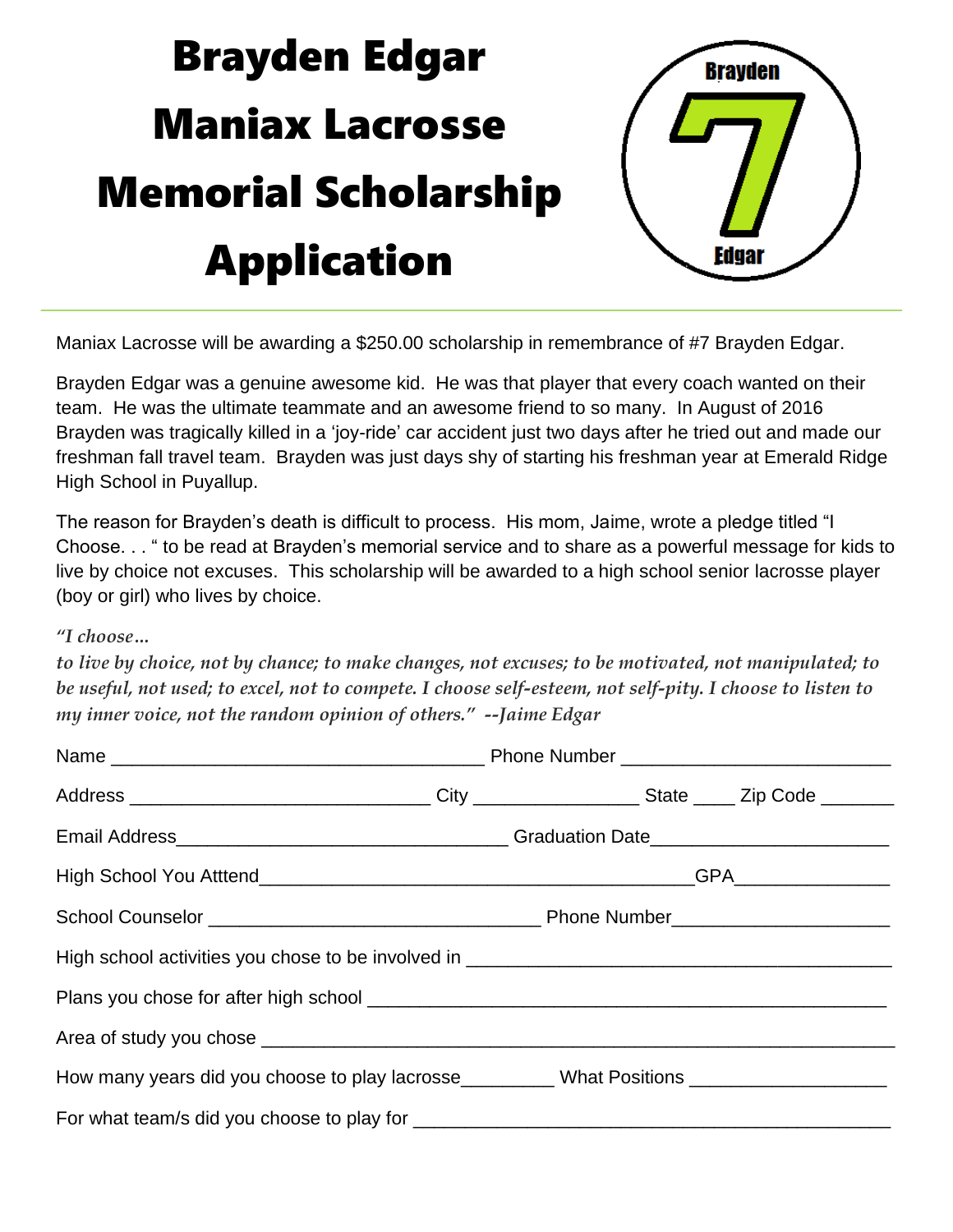## Brayden Edgar Maniax Lacrosse Memorial Scholarship Application



Maniax Lacrosse will be awarding a \$250.00 scholarship in remembrance of #7 Brayden Edgar.

Brayden Edgar was a genuine awesome kid. He was that player that every coach wanted on their team. He was the ultimate teammate and an awesome friend to so many. In August of 2016 Brayden was tragically killed in a 'joy-ride' car accident just two days after he tried out and made our freshman fall travel team. Brayden was just days shy of starting his freshman year at Emerald Ridge High School in Puyallup.

The reason for Brayden's death is difficult to process. His mom, Jaime, wrote a pledge titled "I Choose. . . " to be read at Brayden's memorial service and to share as a powerful message for kids to live by choice not excuses. This scholarship will be awarded to a high school senior lacrosse player (boy or girl) who lives by choice.

## *"I choose…*

to live by choice, not by chance; to make changes, not excuses; to be motivated, not manipulated; to be useful, not used; to excel, not to compete. I choose self-esteem, not self-pity. I choose to listen to *my inner voice, not the random opinion of others." --Jaime Edgar*

| How many years did you choose to play lacrosse__________ What Positions ___________________________ |
|-----------------------------------------------------------------------------------------------------|
|                                                                                                     |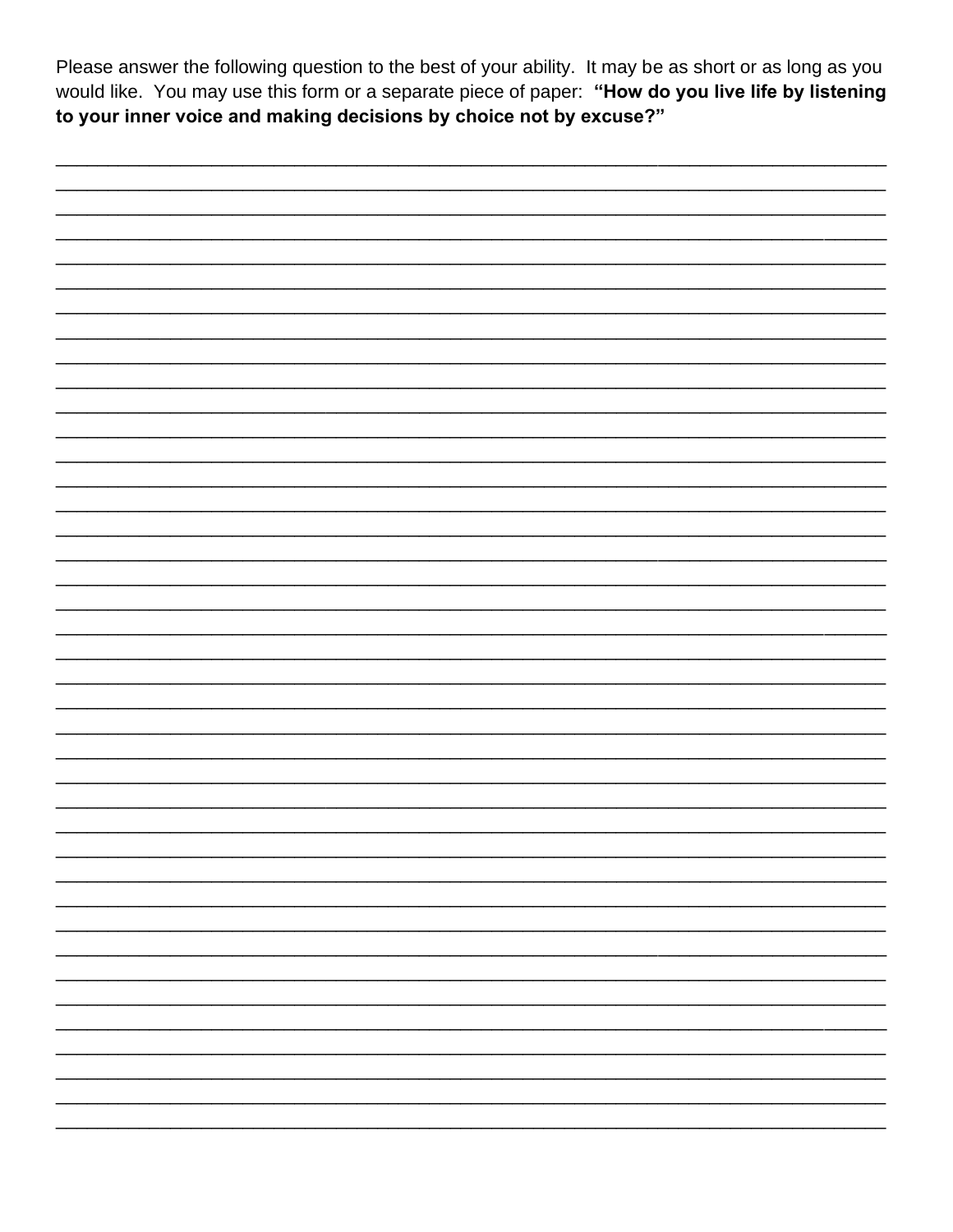Please answer the following question to the best of your ability. It may be as short or as long as you would like. You may use this form or a separate piece of paper: "How do you live life by listening to your inner voice and making decisions by choice not by excuse?"